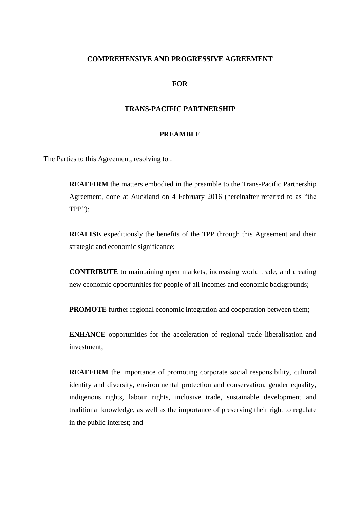## **COMPREHENSIVE AND PROGRESSIVE AGREEMENT**

### **FOR**

#### **TRANS-PACIFIC PARTNERSHIP**

#### **PREAMBLE**

The Parties to this Agreement, resolving to :

**REAFFIRM** the matters embodied in the preamble to the Trans-Pacific Partnership Agreement, done at Auckland on 4 February 2016 (hereinafter referred to as "the TPP");

**REALISE** expeditiously the benefits of the TPP through this Agreement and their strategic and economic significance;

**CONTRIBUTE** to maintaining open markets, increasing world trade, and creating new economic opportunities for people of all incomes and economic backgrounds;

**PROMOTE** further regional economic integration and cooperation between them;

**ENHANCE** opportunities for the acceleration of regional trade liberalisation and investment;

**REAFFIRM** the importance of promoting corporate social responsibility, cultural identity and diversity, environmental protection and conservation, gender equality, indigenous rights, labour rights, inclusive trade, sustainable development and traditional knowledge, as well as the importance of preserving their right to regulate in the public interest; and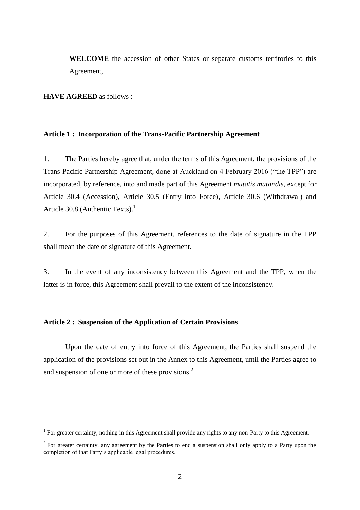**WELCOME** the accession of other States or separate customs territories to this Agreement,

**HAVE AGREED** as follows :

**.** 

## **Article 1 : Incorporation of the Trans-Pacific Partnership Agreement**

1. The Parties hereby agree that, under the terms of this Agreement, the provisions of the Trans-Pacific Partnership Agreement, done at Auckland on 4 February 2016 ("the TPP") are incorporated, by reference, into and made part of this Agreement *mutatis mutandis*, except for Article 30.4 (Accession), Article 30.5 (Entry into Force), Article 30.6 (Withdrawal) and Article 30.8 (Authentic Texts).<sup>1</sup>

2. For the purposes of this Agreement, references to the date of signature in the TPP shall mean the date of signature of this Agreement.

3. In the event of any inconsistency between this Agreement and the TPP, when the latter is in force, this Agreement shall prevail to the extent of the inconsistency.

## **Article 2 : Suspension of the Application of Certain Provisions**

Upon the date of entry into force of this Agreement, the Parties shall suspend the application of the provisions set out in the Annex to this Agreement, until the Parties agree to end suspension of one or more of these provisions.<sup>2</sup>

<sup>&</sup>lt;sup>1</sup> For greater certainty, nothing in this Agreement shall provide any rights to any non-Party to this Agreement.

 $2^2$  For greater certainty, any agreement by the Parties to end a suspension shall only apply to a Party upon the completion of that Party's applicable legal procedures.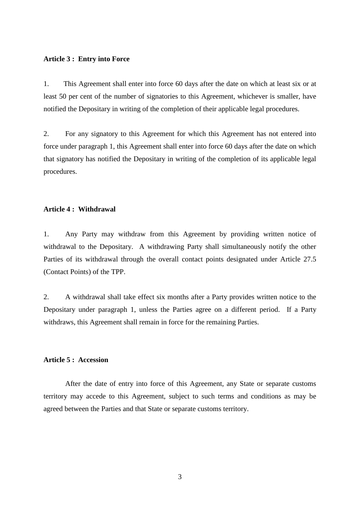#### **Article 3 : Entry into Force**

1. This Agreement shall enter into force 60 days after the date on which at least six or at least 50 per cent of the number of signatories to this Agreement, whichever is smaller, have notified the Depositary in writing of the completion of their applicable legal procedures.

2. For any signatory to this Agreement for which this Agreement has not entered into force under paragraph 1, this Agreement shall enter into force 60 days after the date on which that signatory has notified the Depositary in writing of the completion of its applicable legal procedures.

## **Article 4 : Withdrawal**

1. Any Party may withdraw from this Agreement by providing written notice of withdrawal to the Depositary. A withdrawing Party shall simultaneously notify the other Parties of its withdrawal through the overall contact points designated under Article 27.5 (Contact Points) of the TPP.

2. A withdrawal shall take effect six months after a Party provides written notice to the Depositary under paragraph 1, unless the Parties agree on a different period. If a Party withdraws, this Agreement shall remain in force for the remaining Parties.

## **Article 5 : Accession**

After the date of entry into force of this Agreement, any State or separate customs territory may accede to this Agreement, subject to such terms and conditions as may be agreed between the Parties and that State or separate customs territory.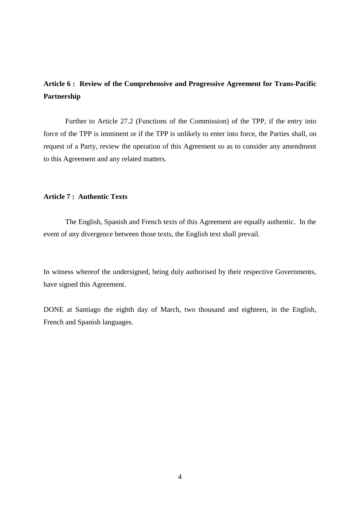# **Article 6 : Review of the Comprehensive and Progressive Agreement for Trans-Pacific Partnership**

Further to Article 27.2 (Functions of the Commission) of the TPP, if the entry into force of the TPP is imminent or if the TPP is unlikely to enter into force, the Parties shall, on request of a Party, review the operation of this Agreement so as to consider any amendment to this Agreement and any related matters.

## **Article 7 : Authentic Texts**

The English, Spanish and French texts of this Agreement are equally authentic. In the event of any divergence between those texts, the English text shall prevail.

In witness whereof the undersigned, being duly authorised by their respective Governments, have signed this Agreement.

DONE at Santiago the eighth day of March, two thousand and eighteen, in the English, French and Spanish languages.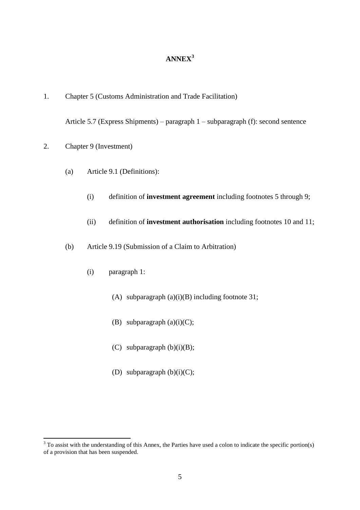# **ANNEX<sup>3</sup>**

1. Chapter 5 (Customs Administration and Trade Facilitation)

Article 5.7 (Express Shipments) – paragraph 1 – subparagraph (f): second sentence

2. Chapter 9 (Investment)

**.** 

- (a) Article 9.1 (Definitions):
	- (i) definition of **investment agreement** including footnotes 5 through 9;
	- (ii) definition of **investment authorisation** including footnotes 10 and 11;
- (b) Article 9.19 (Submission of a Claim to Arbitration)
	- (i) paragraph 1:
		- (A) subparagraph  $(a)(i)(B)$  including footnote 31;
		- (B) subparagraph  $(a)(i)(C)$ ;
		- (C) subparagraph  $(b)(i)(B);$
		- (D) subparagraph  $(b)(i)(C)$ ;

 $3$  To assist with the understanding of this Annex, the Parties have used a colon to indicate the specific portion(s) of a provision that has been suspended.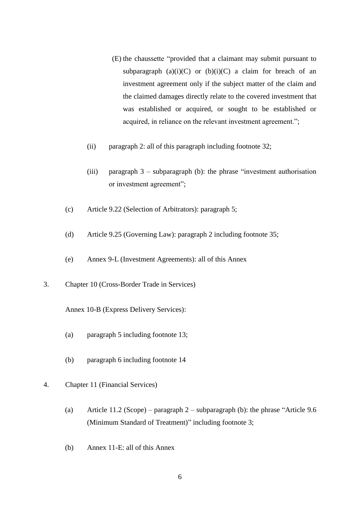- (E) the chaussette "provided that a claimant may submit pursuant to subparagraph  $(a)(i)(C)$  or  $(b)(i)(C)$  a claim for breach of an investment agreement only if the subject matter of the claim and the claimed damages directly relate to the covered investment that was established or acquired, or sought to be established or acquired, in reliance on the relevant investment agreement.";
- (ii) paragraph 2: all of this paragraph including footnote 32;
- (iii) paragraph 3 subparagraph (b): the phrase "investment authorisation or investment agreement";
- (c) Article 9.22 (Selection of Arbitrators): paragraph 5;
- (d) Article 9.25 (Governing Law): paragraph 2 including footnote 35;
- (e) Annex 9-L (Investment Agreements): all of this Annex
- 3. Chapter 10 (Cross-Border Trade in Services)

Annex 10-B (Express Delivery Services):

- (a) paragraph 5 including footnote 13;
- (b) paragraph 6 including footnote 14
- 4. Chapter 11 (Financial Services)
	- (a) Article 11.2 (Scope) paragraph 2 subparagraph (b): the phrase "Article 9.6 (Minimum Standard of Treatment)" including footnote 3;
	- (b) Annex 11-E: all of this Annex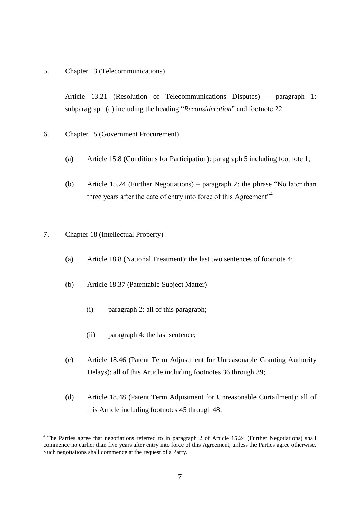5. Chapter 13 (Telecommunications)

Article 13.21 (Resolution of Telecommunications Disputes) – paragraph 1: subparagraph (d) including the heading "*Reconsideration*" and footnote 22

- 6. Chapter 15 (Government Procurement)
	- (a) Article 15.8 (Conditions for Participation): paragraph 5 including footnote 1;
	- (b) Article 15.24 (Further Negotiations) paragraph 2: the phrase "No later than three years after the date of entry into force of this Agreement"<sup>4</sup>
- 7. Chapter 18 (Intellectual Property)

1

- (a) Article 18.8 (National Treatment): the last two sentences of footnote 4;
- (b) Article 18.37 (Patentable Subject Matter)
	- (i) paragraph 2: all of this paragraph;
	- (ii) paragraph 4: the last sentence;
- (c) Article 18.46 (Patent Term Adjustment for Unreasonable Granting Authority Delays): all of this Article including footnotes 36 through 39;
- (d) Article 18.48 (Patent Term Adjustment for Unreasonable Curtailment): all of this Article including footnotes 45 through 48;

<sup>&</sup>lt;sup>4</sup> The Parties agree that negotiations referred to in paragraph 2 of Article 15.24 (Further Negotiations) shall commence no earlier than five years after entry into force of this Agreement, unless the Parties agree otherwise. Such negotiations shall commence at the request of a Party.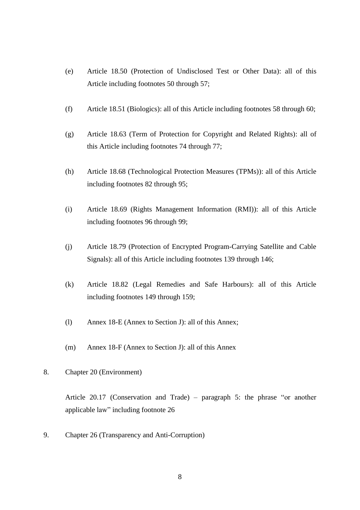- (e) Article 18.50 (Protection of Undisclosed Test or Other Data): all of this Article including footnotes 50 through 57;
- (f) Article 18.51 (Biologics): all of this Article including footnotes 58 through 60;
- (g) Article 18.63 (Term of Protection for Copyright and Related Rights): all of this Article including footnotes 74 through 77;
- (h) Article 18.68 (Technological Protection Measures (TPMs)): all of this Article including footnotes 82 through 95;
- (i) Article 18.69 (Rights Management Information (RMI)): all of this Article including footnotes 96 through 99;
- (j) Article 18.79 (Protection of Encrypted Program-Carrying Satellite and Cable Signals): all of this Article including footnotes 139 through 146;
- (k) Article 18.82 (Legal Remedies and Safe Harbours): all of this Article including footnotes 149 through 159;
- (l) Annex 18-E (Annex to Section J): all of this Annex;
- (m) Annex 18-F (Annex to Section J): all of this Annex
- 8. Chapter 20 (Environment)

Article 20.17 (Conservation and Trade) – paragraph 5: the phrase "or another applicable law" including footnote 26

9. Chapter 26 (Transparency and Anti-Corruption)